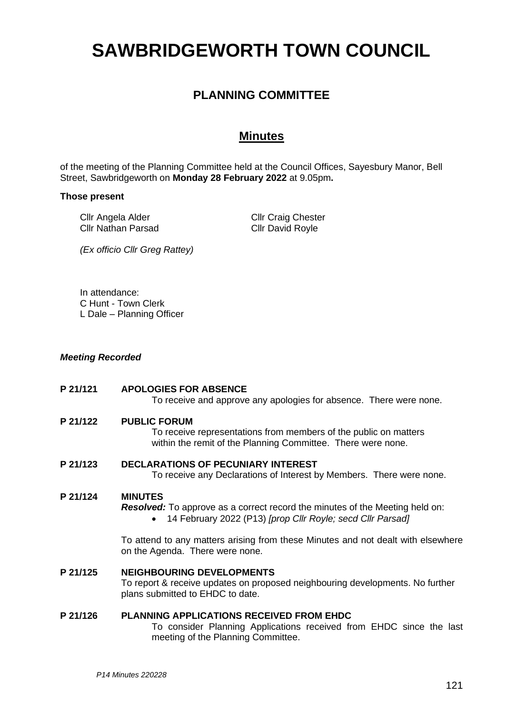# **SAWBRIDGEWORTH TOWN COUNCIL**

## **PLANNING COMMITTEE**

### **Minutes**

of the meeting of the Planning Committee held at the Council Offices, Sayesbury Manor, Bell Street, Sawbridgeworth on **Monday 28 February 2022** at 9.05pm**.**

#### **Those present**

Cllr Angela Alder Cllr Nathan Parsad Cllr Craig Chester Cllr David Royle

*(Ex officio Cllr Greg Rattey)*

In attendance: C Hunt - Town Clerk L Dale – Planning Officer

#### *Meeting Recorded*

## **P 21/121 APOLOGIES FOR ABSENCE** To receive and approve any apologies for absence. There were none. **P 21/122 PUBLIC FORUM** To receive representations from members of the public on matters within the remit of the Planning Committee. There were none. **P 21/123 DECLARATIONS OF PECUNIARY INTEREST** To receive any Declarations of Interest by Members. There were none.

#### **P 21/124 MINUTES**

*Resolved:* To approve as a correct record the minutes of the Meeting held on:

• 14 February 2022 (P13) *[prop Cllr Royle; secd Cllr Parsad]*

To attend to any matters arising from these Minutes and not dealt with elsewhere on the Agenda. There were none.

#### **P 21/125 NEIGHBOURING DEVELOPMENTS**

To report & receive updates on proposed neighbouring developments. No further plans submitted to EHDC to date.

#### **P 21/126 PLANNING APPLICATIONS RECEIVED FROM EHDC**

To consider Planning Applications received from EHDC since the last meeting of the Planning Committee.